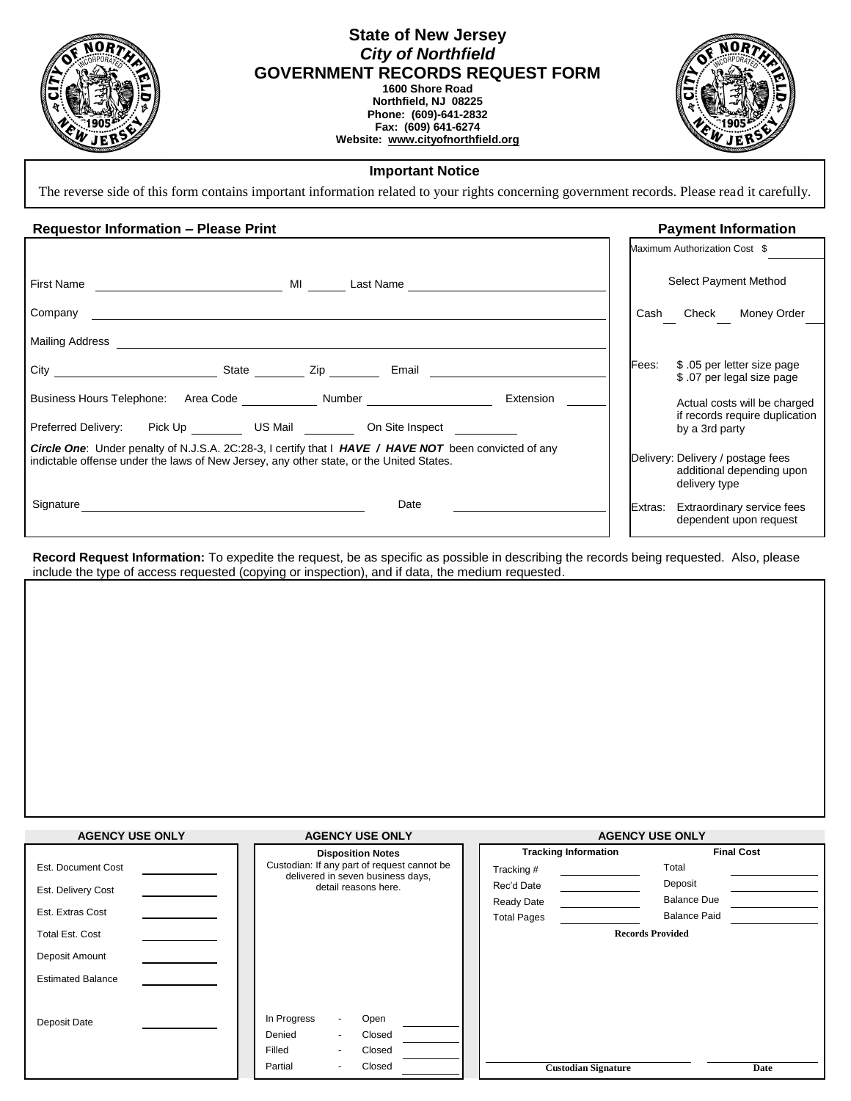| C<br>١,<br>۵<br>71<br>n,<br>$\overline{OPOB}$<br>$\sigma_{\!\mathcal{E}}$ |  |
|---------------------------------------------------------------------------|--|
|                                                                           |  |
|                                                                           |  |
| ŖŚ<br>B.                                                                  |  |

## **State of New Jersey** *City of Northfield* **GOVERNMENT RECORDS REQUEST FORM 1600 Shore Road Northfield, NJ 08225 Phone: (609)-641-2832**

**Fax: (609) 641-6274 Website: [www.cityofnorthfield.org](http://www.cityofnorthfield.org/)**



## **Important Notice**

The reverse side of this form contains important information related to your rights concerning government records. Please read it carefully.

## **Requestor Information – Please Print Payment Information**

|                                                                                                                                                                                                                                              |           |         | Maximum Authorization Cost \$                                                   |
|----------------------------------------------------------------------------------------------------------------------------------------------------------------------------------------------------------------------------------------------|-----------|---------|---------------------------------------------------------------------------------|
| First Name<br>MI and the state of the state of the state of the state of the state of the state of the state of the state of the state of the state of the state of the state of the state of the state of the state of the state of the sta | Last Name |         | Select Payment Method                                                           |
| Company                                                                                                                                                                                                                                      |           | Cash    | Check Money Order                                                               |
| Mailing Address                                                                                                                                                                                                                              |           |         |                                                                                 |
| State <b>Zip</b> Email                                                                                                                                                                                                                       |           | Fees:   | \$ .05 per letter size page<br>\$ .07 per legal size page                       |
| Business Hours Telephone: Area Code Number                                                                                                                                                                                                   | Extension |         | Actual costs will be charged                                                    |
| Preferred Delivery: Pick Up _________ US Mail __________ On Site Inspect _______                                                                                                                                                             |           |         | if records require duplication<br>by a 3rd party                                |
| <b>Circle One:</b> Under penalty of N.J.S.A. 2C:28-3, I certify that I HAVE / HAVE NOT been convicted of any<br>indictable offense under the laws of New Jersey, any other state, or the United States.                                      |           |         | Delivery: Delivery / postage fees<br>additional depending upon<br>delivery type |
| Signature                                                                                                                                                                                                                                    | Date      | Extras: | Extraordinary service fees<br>dependent upon request                            |

**Record Request Information:** To expedite the request, be as specific as possible in describing the records being requested. Also, please include the type of access requested (copying or inspection), and if data, the medium requested.

| <b>AGENCY USE ONLY</b>   | <b>AGENCY USE ONLY</b>                                                           | <b>AGENCY USE ONLY</b>      |                         |  |
|--------------------------|----------------------------------------------------------------------------------|-----------------------------|-------------------------|--|
|                          | <b>Disposition Notes</b>                                                         | <b>Tracking Information</b> | <b>Final Cost</b>       |  |
| Est. Document Cost       | Custodian: If any part of request cannot be<br>delivered in seven business days, | Tracking#                   | Total                   |  |
| Est. Delivery Cost       | detail reasons here.                                                             | Rec'd Date                  | Deposit                 |  |
|                          |                                                                                  | <b>Ready Date</b>           | <b>Balance Due</b>      |  |
| Est. Extras Cost         |                                                                                  | <b>Total Pages</b>          | <b>Balance Paid</b>     |  |
| <b>Total Est. Cost</b>   |                                                                                  |                             | <b>Records Provided</b> |  |
| Deposit Amount           |                                                                                  |                             |                         |  |
| <b>Estimated Balance</b> |                                                                                  |                             |                         |  |
|                          |                                                                                  |                             |                         |  |
| Deposit Date             | In Progress<br>Open<br>$\blacksquare$                                            |                             |                         |  |
|                          | Denied<br>Closed                                                                 |                             |                         |  |
|                          | Filled<br>Closed                                                                 |                             |                         |  |
|                          | Closed<br>Partial<br>٠                                                           | <b>Custodian Signature</b>  | Date                    |  |